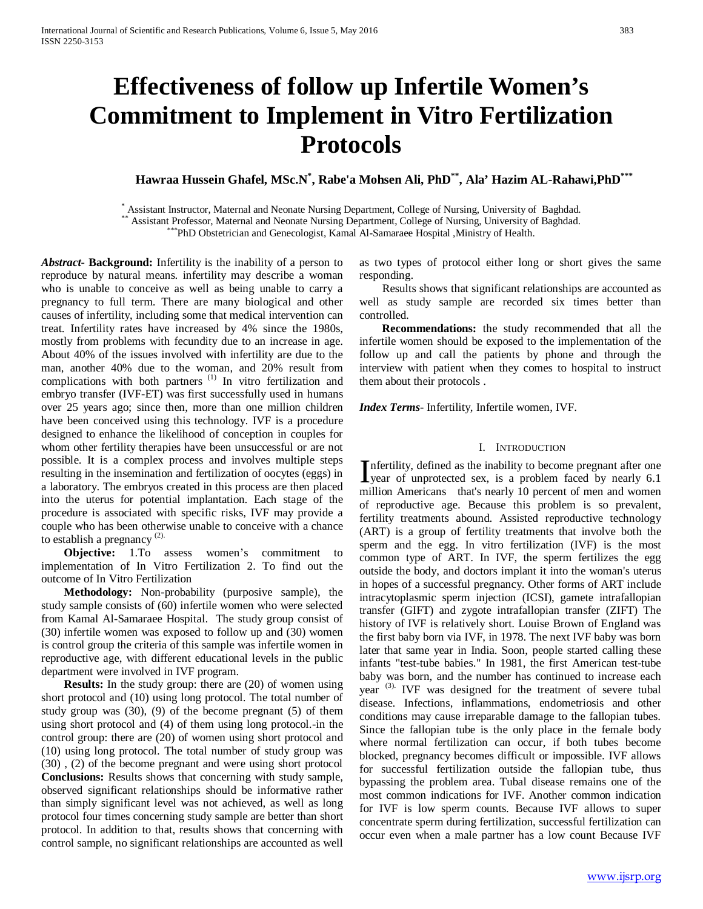# **Effectiveness of follow up Infertile Women's Commitment to Implement in Vitro Fertilization Protocols**

**Hawraa Hussein Ghafel, MSc.N\* , Rabe'a Mohsen Ali, PhD\*\*, Ala' Hazim AL-Rahawi,PhD\*\*\***

Assistant Instructor, Maternal and Neonate Nursing Department, College of Nursing, University of Baghdad.<br>\*\* Assistant Professor, Maternal and Neonate Nursing Department, College of Nursing, University of Baghdad.<br>\*\*\*PhD O

*Abstract***- Background:** Infertility is the inability of a person to reproduce by natural means. infertility may describe a woman who is unable to conceive as well as being unable to carry a pregnancy to full term. There are many biological and other causes of infertility, including some that medical intervention can treat. Infertility rates have increased by 4% since the 1980s, mostly from problems with fecundity due to an increase in age. About 40% of the issues involved with infertility are due to the man, another 40% due to the woman, and 20% result from complications with both partners<sup>(1)</sup> In vitro fertilization and embryo transfer (IVF-ET) was first successfully used in humans over 25 years ago; since then, more than one million children have been conceived using this technology. IVF is a procedure designed to enhance the likelihood of conception in couples for whom other fertility therapies have been unsuccessful or are not possible. It is a complex process and involves multiple steps resulting in the insemination and fertilization of oocytes (eggs) in a laboratory. The embryos created in this process are then placed into the uterus for potential implantation. Each stage of the procedure is associated with specific risks, IVF may provide a couple who has been otherwise unable to conceive with a chance to establish a pregnancy<sup>(2)</sup>

 **Objective:** 1.To assess women's commitment to implementation of In Vitro Fertilization 2. To find out the outcome of In Vitro Fertilization

 **Methodology:** Non-probability (purposive sample), the study sample consists of (60) infertile women who were selected from Kamal Al-Samaraee Hospital. The study group consist of (30) infertile women was exposed to follow up and (30) women is control group the criteria of this sample was infertile women in reproductive age, with different educational levels in the public department were involved in IVF program.

**Results:** In the study group: there are (20) of women using short protocol and (10) using long protocol. The total number of study group was (30), (9) of the become pregnant (5) of them using short protocol and (4) of them using long protocol.-in the control group: there are (20) of women using short protocol and (10) using long protocol. The total number of study group was (30) , (2) of the become pregnant and were using short protocol **Conclusions:** Results shows that concerning with study sample, observed significant relationships should be informative rather than simply significant level was not achieved, as well as long protocol four times concerning study sample are better than short protocol. In addition to that, results shows that concerning with control sample, no significant relationships are accounted as well

as two types of protocol either long or short gives the same responding.

Results shows that significant relationships are accounted as well as study sample are recorded six times better than controlled.

 **Recommendations:** the study recommended that all the infertile women should be exposed to the implementation of the follow up and call the patients by phone and through the interview with patient when they comes to hospital to instruct them about their protocols .

*Index Terms*- Infertility, Infertile women, IVF.

# I. INTRODUCTION

nfertility, defined as the inability to become pregnant after one Infertility, defined as the inability to become pregnant after one<br>year of unprotected sex, is a problem faced by nearly 6.1<br>iii in the subset of sets a problem faced by nearly 6.1 million Americans that's nearly 10 percent of men and women of reproductive age. Because this problem is so prevalent, fertility treatments abound. Assisted reproductive technology (ART) is a group of fertility treatments that involve both the sperm and the egg. In vitro fertilization (IVF) is the most common type of ART. In IVF, the sperm fertilizes the egg outside the body, and doctors implant it into the woman's uterus in hopes of a successful pregnancy. Other forms of ART include intracytoplasmic sperm injection (ICSI), gamete intrafallopian transfer (GIFT) and zygote intrafallopian transfer (ZIFT) The history of IVF is relatively short. Louise Brown of England was the first baby born via IVF, in 1978. The next IVF baby was born later that same year in India. Soon, people started calling these infants "test-tube babies." In 1981, the first American test-tube baby was born, and the number has continued to increase each year <sup>(3)</sup>. IVF was designed for the treatment of severe tubal disease. Infections, inflammations, endometriosis and other conditions may cause irreparable damage to the fallopian tubes. Since the fallopian tube is the only place in the female body where normal fertilization can occur, if both tubes become blocked, pregnancy becomes difficult or impossible. IVF allows for successful fertilization outside the fallopian tube, thus bypassing the problem area. Tubal disease remains one of the most common indications for IVF. Another common indication for IVF is low sperm counts. Because IVF allows to super concentrate sperm during fertilization, successful fertilization can occur even when a male partner has a low count Because IVF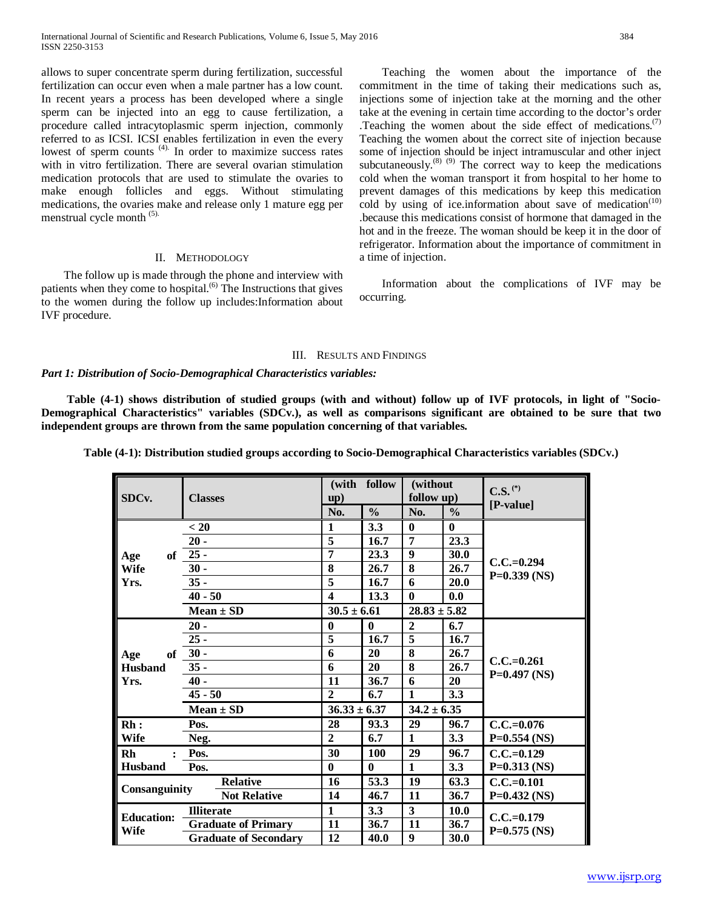allows to super concentrate sperm during fertilization, successful fertilization can occur even when a male partner has a low count. In recent years a process has been developed where a single sperm can be injected into an egg to cause fertilization, a procedure called intracytoplasmic sperm injection, commonly referred to as ICSI. ICSI enables fertilization in even the every lowest of sperm counts <sup>(4)</sup>. In order to maximize success rates with in vitro fertilization. There are several ovarian stimulation medication protocols that are used to stimulate the ovaries to make enough follicles and eggs. Without stimulating medications, the ovaries make and release only 1 mature egg per menstrual cycle month (5).

# II. METHODOLOGY

 The follow up is made through the phone and interview with patients when they come to hospital.<sup>(6)</sup> The Instructions that gives to the women during the follow up includes:Information about IVF procedure.

 Teaching the women about the importance of the commitment in the time of taking their medications such as, injections some of injection take at the morning and the other take at the evening in certain time according to the doctor's order .Teaching the women about the side effect of medications.<sup> $(7)$ </sup> Teaching the women about the correct site of injection because some of injection should be inject intramuscular and other inject subcutaneously. $^{(8)(9)}$  The correct way to keep the medications cold when the woman transport it from hospital to her home to prevent damages of this medications by keep this medication cold by using of ice.information about save of medication<sup> $(10)$ </sup> .because this medications consist of hormone that damaged in the hot and in the freeze. The woman should be keep it in the door of refrigerator. Information about the importance of commitment in a time of injection.

 Information about the complications of IVF may be occurring.

## III. RESULTS AND FINDINGS

# *Part 1: Distribution of Socio-Demographical Characteristics variables:*

 **Table (4-1) shows distribution of studied groups (with and without) follow up of IVF protocols, in light of "Socio-Demographical Characteristics" variables (SDCv.), as well as comparisons significant are obtained to be sure that two independent groups are thrown from the same population concerning of that variables.**

| Table (4-1): Distribution studied groups according to Socio-Demographical Characteristics variables (SDCv.) |  |  |  |
|-------------------------------------------------------------------------------------------------------------|--|--|--|
|-------------------------------------------------------------------------------------------------------------|--|--|--|

| SDCv.             | <b>Classes</b>                                                                  |               | (with follow<br>$\mathbf{u}(\mathbf{p})$ |               | (without<br>follow up) |               | $\mathbf{C.S.}$ <sup>(*)</sup><br>[P-value] |  |  |
|-------------------|---------------------------------------------------------------------------------|---------------|------------------------------------------|---------------|------------------------|---------------|---------------------------------------------|--|--|
|                   |                                                                                 |               | No.                                      | $\frac{0}{0}$ | No.                    | $\frac{0}{0}$ |                                             |  |  |
|                   | < 20<br>$20 -$                                                                  |               | 1                                        | 3.3           | $\mathbf{0}$           | $\bf{0}$      |                                             |  |  |
|                   |                                                                                 |               | $\overline{\mathbf{5}}$                  | 16.7          | 7                      | 23.3          |                                             |  |  |
| of<br>Age         | $25 -$                                                                          |               | 7                                        | 23.3          | $\boldsymbol{9}$       | 30.0          |                                             |  |  |
| <b>Wife</b>       | $30 -$                                                                          |               | 8                                        | 26.7          | 8                      | 26.7          | $C.C.=0.294$                                |  |  |
| Yrs.              | $35 -$                                                                          |               | 5                                        | 16.7          | 6                      | 20.0          | $P=0.339$ (NS)                              |  |  |
|                   | $40 - 50$                                                                       |               | $\overline{\mathbf{4}}$                  | 13.3          | $\mathbf{0}$           | 0.0           |                                             |  |  |
|                   |                                                                                 | $Mean \pm SD$ | $30.5 \pm 6.61$                          |               | $28.83 \pm 5.82$       |               |                                             |  |  |
|                   | $20 -$                                                                          |               | $\bf{0}$                                 | $\bf{0}$      | $\overline{2}$         | 6.7           |                                             |  |  |
|                   | $25 -$<br>$30 -$                                                                |               | 5                                        | 16.7          | $\overline{5}$         | 16.7          |                                             |  |  |
| Age<br>of         |                                                                                 |               | 6                                        | 20            | 8                      | 26.7          |                                             |  |  |
| <b>Husband</b>    | $35 -$                                                                          |               | 6                                        | 20            | 8                      | 26.7          | $C.C.=0.261$                                |  |  |
| Yrs.              | $40 -$                                                                          |               | 11                                       | 36.7          | 6                      | 20            | $P=0.497$ (NS)                              |  |  |
|                   | $45 - 50$                                                                       |               | $\overline{2}$                           | 6.7           | 1                      | 3.3           |                                             |  |  |
|                   | $Mean \pm SD$                                                                   |               | $36.33 \pm 6.37$                         |               | $34.2 \pm 6.35$        |               |                                             |  |  |
| Rh:               | Pos.                                                                            |               | 28                                       | 93.3          | 29                     | 96.7          | $C.C.=0.076$                                |  |  |
| <b>Wife</b>       | Neg.                                                                            |               | $\overline{2}$                           | 6.7           | $\mathbf{1}$           | 3.3           | $P=0.554$ (NS)                              |  |  |
| Rh<br>$\bullet$   | Pos.                                                                            |               | 30                                       | 100           | 29                     | 96.7          | $C.C.=0.129$                                |  |  |
| <b>Husband</b>    | Pos.                                                                            |               | $\bf{0}$                                 | $\bf{0}$      | $\mathbf{1}$           | 3.3           | $P=0.313$ (NS)                              |  |  |
|                   | <b>Relative</b><br><b>Not Relative</b>                                          |               | 16                                       | 53.3          | 19                     | 63.3          | $C.C.=0.101$                                |  |  |
| Consanguinity     |                                                                                 |               | 14                                       | 46.7          | 11                     | 36.7          | $P=0.432$ (NS)                              |  |  |
|                   | <b>Illiterate</b><br><b>Graduate of Primary</b><br><b>Graduate of Secondary</b> |               | $\mathbf{1}$                             | 3.3           | $\mathbf{3}$           | 10.0          |                                             |  |  |
| <b>Education:</b> |                                                                                 |               | 11                                       | 36.7          | 11                     | 36.7          | $C.C.=0.179$                                |  |  |
| <b>Wife</b>       |                                                                                 |               | 12                                       | 40.0          | 9                      | 30.0          | $P=0.575$ (NS)                              |  |  |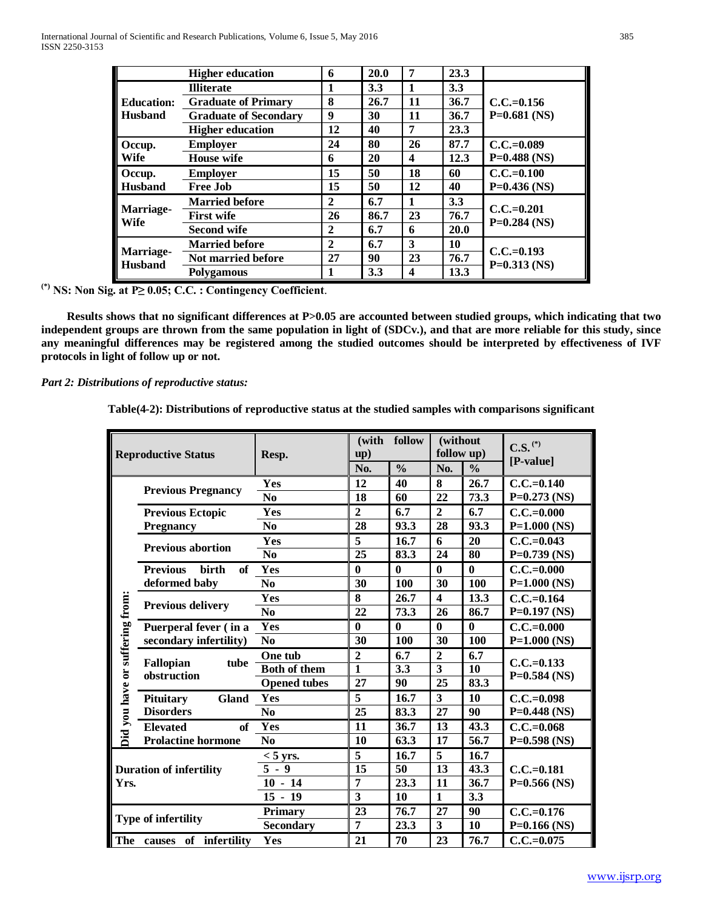|                             | <b>Higher education</b>      | 6              | 20.0 | 7                | 23.3 |                                |
|-----------------------------|------------------------------|----------------|------|------------------|------|--------------------------------|
|                             | <b>Illiterate</b>            | 1              | 3.3  | $\mathbf{1}$     | 3.3  |                                |
| <b>Education:</b>           | <b>Graduate of Primary</b>   | 8              | 26.7 | 11               | 36.7 | $C.C.=0.156$                   |
| <b>Husband</b>              | <b>Graduate of Secondary</b> | 9              | 30   | 11               | 36.7 | $P=0.681$ (NS)                 |
|                             | <b>Higher education</b>      | 12             | 40   | $\overline{7}$   | 23.3 |                                |
| Occup.                      | <b>Employer</b>              | 24             | 80   | 26               | 87.7 | $C.C.=0.089$                   |
| <b>Wife</b>                 | <b>House</b> wife            | 6              | 20   | $\boldsymbol{4}$ | 12.3 | $P=0.488$ (NS)                 |
| Occup.                      | <b>Employer</b>              | 15             | 50   | 18               | 60   | $C.C.=0.100$                   |
| <b>Husband</b>              | <b>Free Job</b>              | 15             | 50   | 12               | 40   | $P=0.436$ (NS)                 |
|                             | <b>Married before</b>        | $\mathbf{2}$   | 6.7  | $\mathbf{1}$     | 3.3  |                                |
| Marriage-<br><b>Wife</b>    | <b>First wife</b>            | 26             | 86.7 | 23               | 76.7 | $C.C.=0.201$<br>$P=0.284$ (NS) |
|                             | <b>Second wife</b>           | $\overline{2}$ | 6.7  | 6                | 20.0 |                                |
| Marriage-<br><b>Husband</b> | <b>Married before</b>        | $\mathbf{2}$   | 6.7  | 3                | 10   | $C.C.=0.193$                   |
|                             | <b>Not married before</b>    | 27             | 90   | 23               | 76.7 | $P=0.313$ (NS)                 |
|                             | <b>Polygamous</b>            |                | 3.3  | $\boldsymbol{4}$ | 13.3 |                                |

**(\*) NS: Non Sig. at P≥ 0.05; C.C. : Contingency Coefficient**.

 **Results shows that no significant differences at P>0.05 are accounted between studied groups, which indicating that two independent groups are thrown from the same population in light of (SDCv.), and that are more reliable for this study, since any meaningful differences may be registered among the studied outcomes should be interpreted by effectiveness of IVF protocols in light of follow up or not.** 

# *Part 2: Distributions of reproductive status:*

**Table(4-2): Distributions of reproductive status at the studied samples with comparisons significant**

| <b>Reproductive Status</b>      |                                       | Resp.               | (with<br>up)            | follow            | (without<br>follow up)  |               | $\mathbf{C.S.}^{(*)}$          |
|---------------------------------|---------------------------------------|---------------------|-------------------------|-------------------|-------------------------|---------------|--------------------------------|
|                                 |                                       |                     | No.                     | $\frac{0}{0}$     | No.                     | $\frac{0}{0}$ | $[P-value]$                    |
|                                 | <b>Previous Pregnancy</b>             | Yes                 | 12                      | 40                | 8                       | 26.7          | $C.C.=0.140$                   |
|                                 |                                       | N <sub>0</sub>      | 18                      | 60                | 22                      | 73.3          | $P=0.273$ (NS)                 |
|                                 | <b>Previous Ectopic</b>               | Yes                 | $\overline{2}$          | 6.7               | $\overline{2}$          | 6.7           | $C.C.=0.000$                   |
|                                 | <b>Pregnancy</b>                      | N <sub>0</sub>      | 28                      | 93.3              | 28                      | 93.3          | $P=1.000$ (NS)                 |
|                                 | <b>Previous abortion</b>              | Yes                 | 5                       | 16.7              | 6                       | 20            | $C.C.=0.043$                   |
|                                 |                                       | N <sub>0</sub>      | 25                      | 83.3              | 24                      | 80            | $P=0.739$ (NS)                 |
|                                 | <b>Previous</b><br><b>birth</b><br>of | Yes                 | $\bf{0}$                | $\bf{0}$          | $\bf{0}$                | $\bf{0}$      | $C.C.=0.000$                   |
|                                 | deformed baby                         | N <sub>0</sub>      | 30                      | <b>100</b>        | 30                      | 100           | $P=1.000$ (NS)                 |
|                                 |                                       | Yes                 | 8                       | 26.7              | $\overline{\mathbf{4}}$ | 13.3          | $C.C.=0.164$                   |
|                                 | <b>Previous delivery</b>              | N <sub>0</sub>      | 22                      | 73.3              | 26                      | 86.7          | $P=0.197$ (NS)                 |
|                                 | Puerperal fever (in a                 | Yes                 | $\bf{0}$                | $\mathbf{0}$      | $\bf{0}$                | $\bf{0}$      | $C.C.=0.000$                   |
|                                 | secondary infertility)                | N <sub>0</sub>      | 30                      | 100               | 30                      | 100           | $P=1.000$ (NS)                 |
| Did you have or suffering from: | Fallopian<br>tube<br>obstruction      | One tub             | $\mathbf{2}$            | 6.7               | $\overline{2}$          | 6.7           | $C.C.=0.133$<br>$P=0.584$ (NS) |
|                                 |                                       | <b>Both of them</b> | $\overline{\mathbf{1}}$ | $\overline{3.3}$  | $\overline{3}$          | 10            |                                |
|                                 |                                       | <b>Opened tubes</b> | 27                      | 90                | $\overline{25}$         | 83.3          |                                |
|                                 | <b>Gland</b><br>Pituitary             | Yes                 | 5                       | 16.7              | $\overline{\mathbf{3}}$ | 10            | $C.C.=0.098$                   |
|                                 | <b>Disorders</b>                      | N <sub>0</sub>      | 25                      | 83.3              | 27                      | 90            | $P=0.448$ (NS)                 |
|                                 | of<br><b>Elevated</b>                 | Yes                 | 11                      | 36.7              | 13                      | 43.3          | $C.C.=0.068$                   |
|                                 | <b>Prolactine hormone</b>             | N <sub>0</sub>      | 10                      | 63.3              | 17                      | 56.7          | $P=0.598$ (NS)                 |
|                                 |                                       | $<$ 5 yrs.          | 5                       | 16.7              | $\overline{5}$          | 16.7          |                                |
|                                 | <b>Duration of infertility</b>        | $5 - 9$             | 15                      | 50                | 13                      | 43.3          | $C.C.=0.181$                   |
| Yrs.                            |                                       | $10 - 14$           | 7                       | $\overline{23.3}$ | $\overline{11}$         | 36.7          | $P=0.566$ (NS)                 |
|                                 |                                       | $15 - 19$           | 3                       | 10                | $\mathbf{1}$            | 3.3           |                                |
|                                 | <b>Type of infertility</b>            | Primary             | 23                      | 76.7              | 27                      | 90            | $C.C.=0.176$                   |
|                                 |                                       | <b>Secondary</b>    | 7                       | 23.3              | 3                       | 10            | $P=0.166$ (NS)                 |
| The<br>of infertility<br>causes |                                       | Yes                 | 21                      | 70                | 23                      | 76.7          | $C.C.=0.075$                   |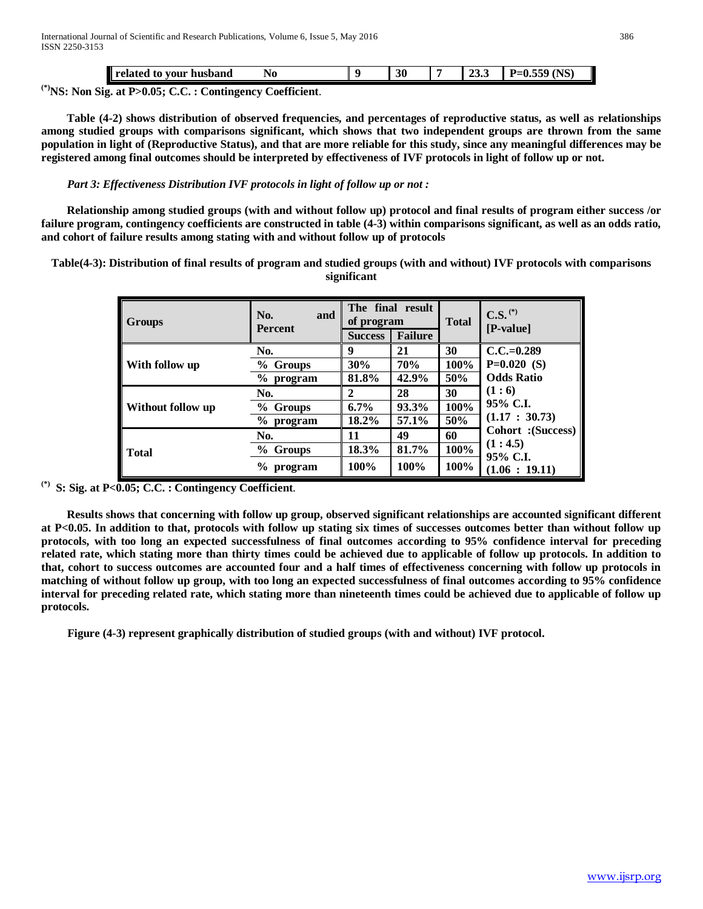|        | husband<br>vour<br>rolotor -<br>t0<br>-сіаіси | No         | 30 | $\sim$ $\sim$<br>້≝ພ∙ | (NS)<br>$- - -$<br>D.,<br>.<br>$-v \omega$ |
|--------|-----------------------------------------------|------------|----|-----------------------|--------------------------------------------|
| $\sim$ | $\mathbf{A}$<br>.                             | <b>GOR</b> |    |                       |                                            |

**(\*)NS: Non Sig. at P>0.05; C.C. : Contingency Coefficient**.

 **Table (4-2) shows distribution of observed frequencies, and percentages of reproductive status, as well as relationships among studied groups with comparisons significant, which shows that two independent groups are thrown from the same population in light of (Reproductive Status), and that are more reliable for this study, since any meaningful differences may be registered among final outcomes should be interpreted by effectiveness of IVF protocols in light of follow up or not.**

*Part 3: Effectiveness Distribution IVF protocols in light of follow up or not :*

 **Relationship among studied groups (with and without follow up) protocol and final results of program either success /or failure program, contingency coefficients are constructed in table (4-3) within comparisons significant, as well as an odds ratio, and cohort of failure results among stating with and without follow up of protocols**

**Table(4-3): Distribution of final results of program and studied groups (with and without) IVF protocols with comparisons significant**

| <b>Groups</b>     | No.<br>and<br><b>Percent</b> | The final result<br>of program<br><b>Failure</b><br><b>Success</b> |       | <b>Total</b> | $C.S.$ <sup>(*)</sup><br>$[P-value]$ |
|-------------------|------------------------------|--------------------------------------------------------------------|-------|--------------|--------------------------------------|
|                   | No.                          | 9                                                                  | 21    | 30           | $C.C.=0.289$                         |
| With follow up    | % Groups                     | 30%                                                                | 70%   | 100%         | $P=0.020$ (S)                        |
|                   | $%$ program                  | 81.8%                                                              | 42.9% | 50%          | <b>Odds Ratio</b>                    |
|                   | No.                          | 2                                                                  | 28    | 30           | (1:6)                                |
| Without follow up | % Groups                     | 6.7%                                                               | 93.3% | 100%         | 95% C.I.                             |
|                   | $\%$<br>program              | 18.2%                                                              | 57.1% | 50%          | (1.17 : 30.73)                       |
| <b>Total</b>      | No.                          | 11                                                                 | 49    | 60           | Cohort : (Success)                   |
|                   | % Groups                     | 18.3%                                                              | 81.7% | 100%         | (1:4.5)<br>95% C.I.                  |
|                   | $\%$<br>program              | 100%                                                               | 100%  | 100%         | (1.06:19.11)                         |

*P* **(\*)***<sup>P</sup>* **S: Sig. at P<0.05; C.C. : Contingency Coefficient**.

 **Results shows that concerning with follow up group, observed significant relationships are accounted significant different at P<0.05. In addition to that, protocols with follow up stating six times of successes outcomes better than without follow up protocols, with too long an expected successfulness of final outcomes according to 95% confidence interval for preceding related rate, which stating more than thirty times could be achieved due to applicable of follow up protocols. In addition to that, cohort to success outcomes are accounted four and a half times of effectiveness concerning with follow up protocols in matching of without follow up group, with too long an expected successfulness of final outcomes according to 95% confidence interval for preceding related rate, which stating more than nineteenth times could be achieved due to applicable of follow up protocols.**

 **Figure (4-3) represent graphically distribution of studied groups (with and without) IVF protocol.**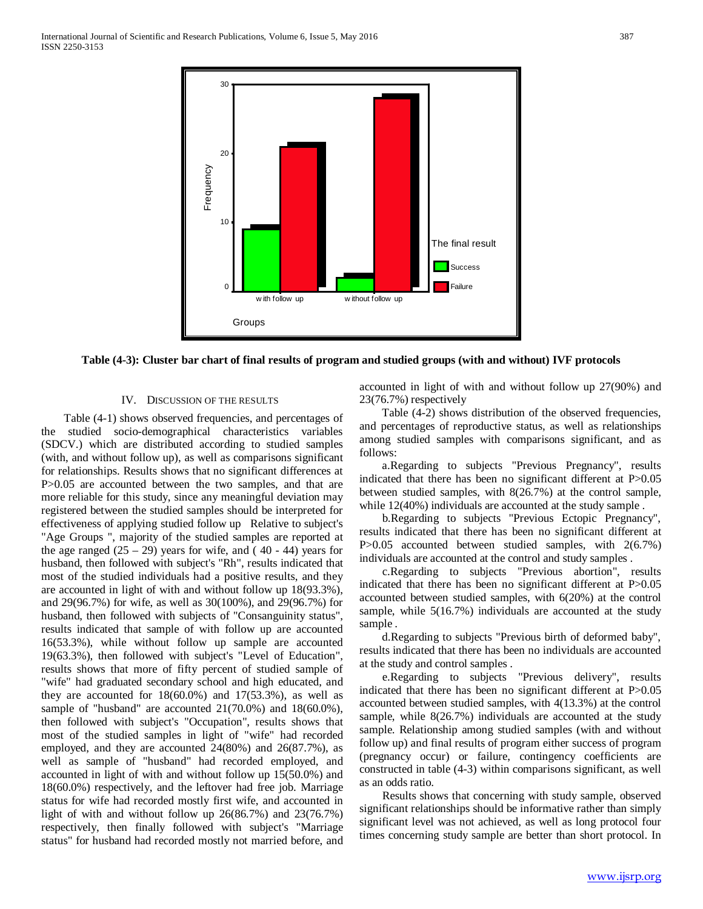



## IV. DISCUSSION OF THE RESULTS

 Table (4-1) shows observed frequencies, and percentages of the studied socio-demographical characteristics variables (SDCV.) which are distributed according to studied samples (with, and without follow up), as well as comparisons significant for relationships. Results shows that no significant differences at P>0.05 are accounted between the two samples, and that are more reliable for this study, since any meaningful deviation may registered between the studied samples should be interpreted for effectiveness of applying studied follow up Relative to subject's "Age Groups ", majority of the studied samples are reported at the age ranged  $(25 – 29)$  years for wife, and  $(40 – 44)$  years for husband, then followed with subject's "Rh", results indicated that most of the studied individuals had a positive results, and they are accounted in light of with and without follow up 18(93.3%), and 29(96.7%) for wife, as well as 30(100%), and 29(96.7%) for husband, then followed with subjects of "Consanguinity status", results indicated that sample of with follow up are accounted 16(53.3%), while without follow up sample are accounted 19(63.3%), then followed with subject's "Level of Education", results shows that more of fifty percent of studied sample of "wife" had graduated secondary school and high educated, and they are accounted for  $18(60.0\%)$  and  $17(53.3\%)$ , as well as sample of "husband" are accounted 21(70.0%) and 18(60.0%), then followed with subject's "Occupation", results shows that most of the studied samples in light of "wife" had recorded employed, and they are accounted 24(80%) and 26(87.7%), as well as sample of "husband" had recorded employed, and accounted in light of with and without follow up 15(50.0%) and 18(60.0%) respectively, and the leftover had free job. Marriage status for wife had recorded mostly first wife, and accounted in light of with and without follow up 26(86.7%) and 23(76.7%) respectively, then finally followed with subject's "Marriage status" for husband had recorded mostly not married before, and

accounted in light of with and without follow up 27(90%) and 23(76.7%) respectively

 Table (4-2) shows distribution of the observed frequencies, and percentages of reproductive status, as well as relationships among studied samples with comparisons significant, and as follows:

 a.Regarding to subjects "Previous Pregnancy", results indicated that there has been no significant different at P>0.05 between studied samples, with 8(26.7%) at the control sample, while  $12(40%)$  individuals are accounted at the study sample.

 b.Regarding to subjects "Previous Ectopic Pregnancy", results indicated that there has been no significant different at P>0.05 accounted between studied samples, with 2(6.7%) individuals are accounted at the control and study samples .

 c.Regarding to subjects "Previous abortion", results indicated that there has been no significant different at P>0.05 accounted between studied samples, with 6(20%) at the control sample, while 5(16.7%) individuals are accounted at the study sample .

 d.Regarding to subjects "Previous birth of deformed baby", results indicated that there has been no individuals are accounted at the study and control samples .

 e.Regarding to subjects "Previous delivery", results indicated that there has been no significant different at P>0.05 accounted between studied samples, with 4(13.3%) at the control sample, while 8(26.7%) individuals are accounted at the study sample. Relationship among studied samples (with and without follow up) and final results of program either success of program (pregnancy occur) or failure, contingency coefficients are constructed in table (4-3) within comparisons significant, as well as an odds ratio.

 Results shows that concerning with study sample, observed significant relationships should be informative rather than simply significant level was not achieved, as well as long protocol four times concerning study sample are better than short protocol. In